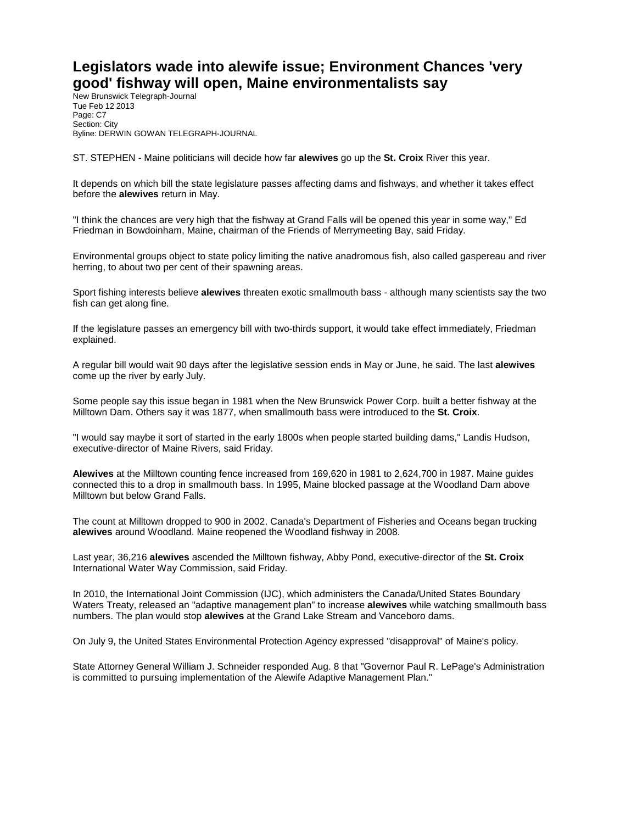## **Legislators wade into alewife issue; Environment Chances 'very good' fishway will open, Maine environmentalists say**

New Brunswick Telegraph-Journal Tue Feb 12 2013 Page: C7 Section: City Byline: DERWIN GOWAN TELEGRAPH-JOURNAL

ST. STEPHEN - Maine politicians will decide how far **alewives** go up the **St. Croix** River this year.

It depends on which bill the state legislature passes affecting dams and fishways, and whether it takes effect before the **alewives** return in May.

"I think the chances are very high that the fishway at Grand Falls will be opened this year in some way," Ed Friedman in Bowdoinham, Maine, chairman of the Friends of Merrymeeting Bay, said Friday.

Environmental groups object to state policy limiting the native anadromous fish, also called gaspereau and river herring, to about two per cent of their spawning areas.

Sport fishing interests believe **alewives** threaten exotic smallmouth bass - although many scientists say the two fish can get along fine.

If the legislature passes an emergency bill with two-thirds support, it would take effect immediately, Friedman explained.

A regular bill would wait 90 days after the legislative session ends in May or June, he said. The last **alewives** come up the river by early July.

Some people say this issue began in 1981 when the New Brunswick Power Corp. built a better fishway at the Milltown Dam. Others say it was 1877, when smallmouth bass were introduced to the **St. Croix**.

"I would say maybe it sort of started in the early 1800s when people started building dams," Landis Hudson, executive-director of Maine Rivers, said Friday.

**Alewives** at the Milltown counting fence increased from 169,620 in 1981 to 2,624,700 in 1987. Maine guides connected this to a drop in smallmouth bass. In 1995, Maine blocked passage at the Woodland Dam above Milltown but below Grand Falls.

The count at Milltown dropped to 900 in 2002. Canada's Department of Fisheries and Oceans began trucking **alewives** around Woodland. Maine reopened the Woodland fishway in 2008.

Last year, 36,216 **alewives** ascended the Milltown fishway, Abby Pond, executive-director of the **St. Croix** International Water Way Commission, said Friday.

In 2010, the International Joint Commission (IJC), which administers the Canada/United States Boundary Waters Treaty, released an "adaptive management plan" to increase **alewives** while watching smallmouth bass numbers. The plan would stop **alewives** at the Grand Lake Stream and Vanceboro dams.

On July 9, the United States Environmental Protection Agency expressed "disapproval" of Maine's policy.

State Attorney General William J. Schneider responded Aug. 8 that "Governor Paul R. LePage's Administration is committed to pursuing implementation of the Alewife Adaptive Management Plan."